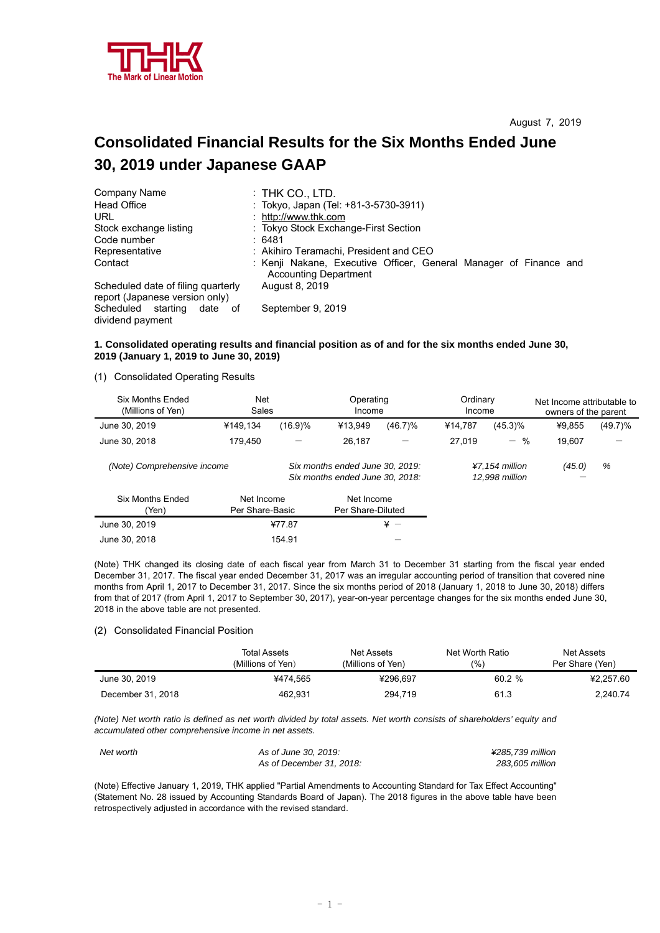

# **Consolidated Financial Results for the Six Months Ended June 30, 2019 under Japanese GAAP**

| Company Name                                                         | $:$ THK CO., LTD.                                                                                 |
|----------------------------------------------------------------------|---------------------------------------------------------------------------------------------------|
| <b>Head Office</b>                                                   | : Tokyo, Japan (Tel: +81-3-5730-3911)                                                             |
| URL                                                                  | : http://www.thk.com                                                                              |
| Stock exchange listing                                               | : Tokyo Stock Exchange-First Section                                                              |
| Code number                                                          | :6481                                                                                             |
| Representative                                                       | : Akihiro Teramachi, President and CEO                                                            |
| Contact                                                              | : Kenji Nakane, Executive Officer, General Manager of Finance and<br><b>Accounting Department</b> |
| Scheduled date of filing quarterly<br>report (Japanese version only) | August 8, 2019                                                                                    |
| Scheduled starting date of<br>dividend payment                       | September 9, 2019                                                                                 |

### **1. Consolidated operating results and financial position as of and for the six months ended June 30, 2019 (January 1, 2019 to June 30, 2019)**

(1) Consolidated Operating Results

| Six Months Ended<br>(Millions of Yen) | <b>Net</b><br>Sales           |         | Operating<br>Income                                                |            | Ordinary<br>Income |                                    | Net Income attributable to<br>owners of the parent |            |
|---------------------------------------|-------------------------------|---------|--------------------------------------------------------------------|------------|--------------------|------------------------------------|----------------------------------------------------|------------|
| June 30, 2019                         | ¥149.134                      | (16.9)% | ¥13,949                                                            | $(46.7)\%$ | ¥14.787            | $(45.3)\%$                         | ¥9,855                                             | $(49.7)\%$ |
| June 30, 2018                         | 179.450                       |         | 26.187                                                             | -          | 27.019             | $-$ %                              | 19,607                                             |            |
| (Note) Comprehensive income           |                               |         | Six months ended June 30, 2019:<br>Six months ended June 30, 2018: |            |                    | $47.154$ million<br>12,998 million | (45.0)                                             | %          |
| <b>Six Months Ended</b><br>(Yen)      | Net Income<br>Per Share-Basic |         | Net Income<br>Per Share-Diluted                                    |            |                    |                                    |                                                    |            |
| June 30, 2019                         |                               | ¥77.87  |                                                                    | $\angle$ + |                    |                                    |                                                    |            |
| June 30, 2018                         |                               | 154.91  |                                                                    |            |                    |                                    |                                                    |            |

(Note) THK changed its closing date of each fiscal year from March 31 to December 31 starting from the fiscal year ended December 31, 2017. The fiscal year ended December 31, 2017 was an irregular accounting period of transition that covered nine months from April 1, 2017 to December 31, 2017. Since the six months period of 2018 (January 1, 2018 to June 30, 2018) differs from that of 2017 (from April 1, 2017 to September 30, 2017), year-on-year percentage changes for the six months ended June 30, 2018 in the above table are not presented.

#### (2) Consolidated Financial Position

|                   | Total Assets<br>(Millions of Yen) | Net Assets<br>(Millions of Yen) | Net Worth Ratio<br>(%` | Net Assets<br>Per Share (Yen) |
|-------------------|-----------------------------------|---------------------------------|------------------------|-------------------------------|
| June 30, 2019     | ¥474.565                          | ¥296.697                        | $60.2 \%$              | ¥2.257.60                     |
| December 31, 2018 | 462,931                           | 294.719                         | 61.3                   | 2.240.74                      |

*(Note) Net worth ratio is defined as net worth divided by total assets. Net worth consists of shareholders' equity and accumulated other comprehensive income in net assets.* 

| Net worth | As of June 30, 2019:     | ¥285.739 million |
|-----------|--------------------------|------------------|
|           | As of December 31, 2018: | 283,605 million  |

(Note) Effective January 1, 2019, THK applied "Partial Amendments to Accounting Standard for Tax Effect Accounting" (Statement No. 28 issued by Accounting Standards Board of Japan). The 2018 figures in the above table have been retrospectively adjusted in accordance with the revised standard.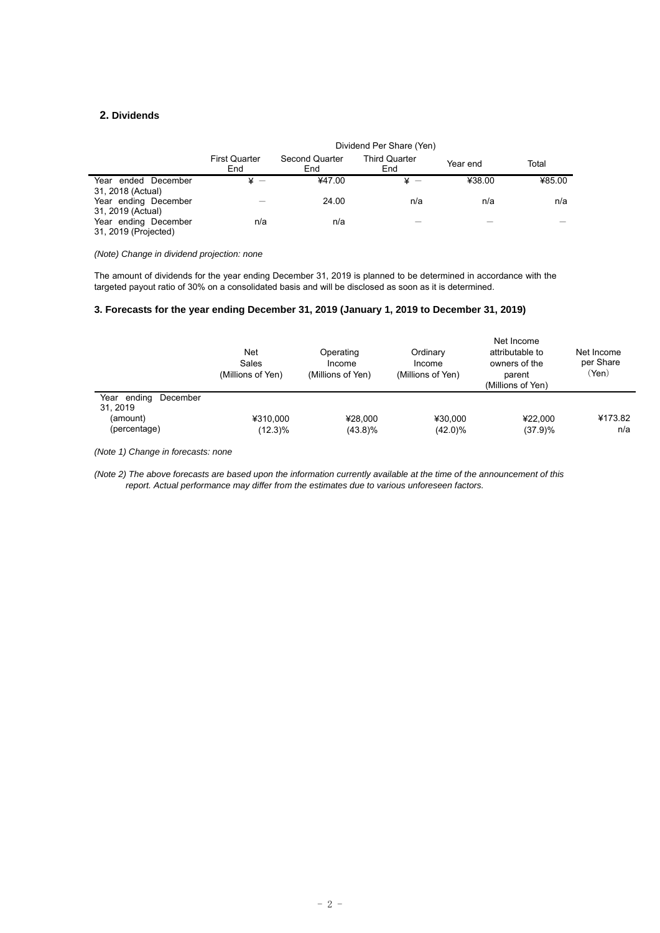## **2. Dividends**

l,

|                                              | Dividend Per Share (Yen)    |                       |                             |          |        |
|----------------------------------------------|-----------------------------|-----------------------|-----------------------------|----------|--------|
|                                              | <b>First Quarter</b><br>End | Second Quarter<br>End | <b>Third Quarter</b><br>End | Year end | Total  |
| Year ended December<br>31, 2018 (Actual)     | $\overline{\phantom{a}}$    | ¥47.00                |                             | ¥38.00   | ¥85.00 |
| Year ending December<br>31, 2019 (Actual)    |                             | 24.00                 | n/a                         | n/a      | n/a    |
| Year ending December<br>31, 2019 (Projected) | n/a                         | n/a                   |                             |          |        |

*(Note) Change in dividend projection: none* 

The amount of dividends for the year ending December 31, 2019 is planned to be determined in accordance with the targeted payout ratio of 30% on a consolidated basis and will be disclosed as soon as it is determined.

### **3. Forecasts for the year ending December 31, 2019 (January 1, 2019 to December 31, 2019)**

|                                                                | Net<br>Sales<br>(Millions of Yen) | Operating<br>Income<br>(Millions of Yen) | Ordinary<br>Income<br>(Millions of Yen) | Net Income<br>attributable to<br>owners of the<br>parent<br>(Millions of Yen) | Net Income<br>per Share<br>(Yen) |
|----------------------------------------------------------------|-----------------------------------|------------------------------------------|-----------------------------------------|-------------------------------------------------------------------------------|----------------------------------|
| Year ending<br>December<br>31.2019<br>(amount)<br>(percentage) | ¥310.000<br>$(12.3)\%$            | ¥28.000<br>$(43.8)\%$                    | ¥30.000<br>$(42.0)\%$                   | ¥22.000<br>(37.9)%                                                            | ¥173.82<br>n/a                   |

*(Note 1) Change in forecasts: none* 

*(Note 2) The above forecasts are based upon the information currently available at the time of the announcement of this report. Actual performance may differ from the estimates due to various unforeseen factors.*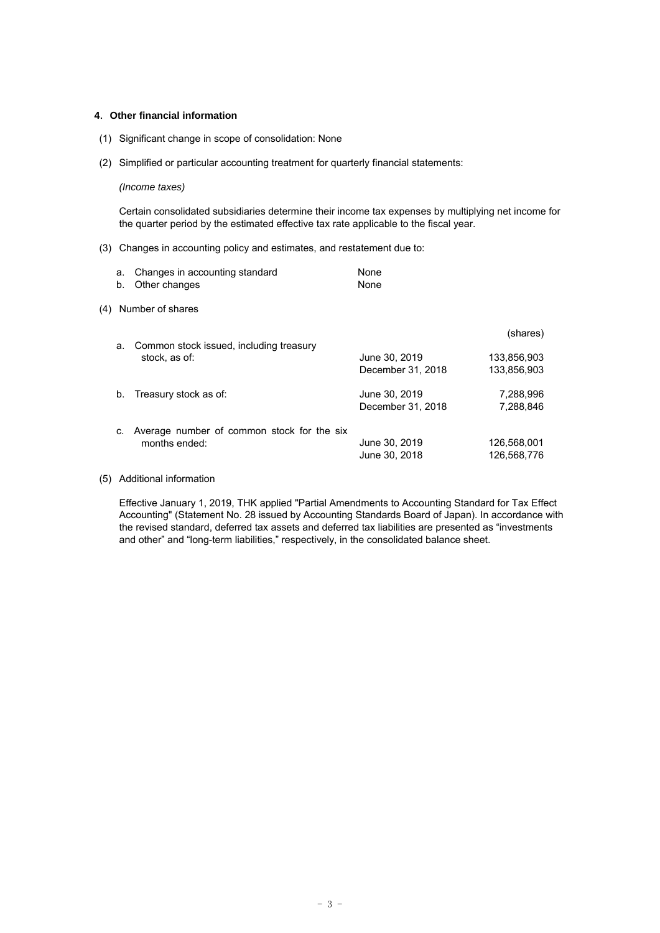#### **4**.**Other financial information**

- (1) Significant change in scope of consolidation: None
- (2) Simplified or particular accounting treatment for quarterly financial statements:

### *(Income taxes)*

Certain consolidated subsidiaries determine their income tax expenses by multiplying net income for the quarter period by the estimated effective tax rate applicable to the fiscal year.

(3) Changes in accounting policy and estimates, and restatement due to:

|     | а.<br>b. | Changes in accounting standard<br>Other changes | None<br>None      |             |
|-----|----------|-------------------------------------------------|-------------------|-------------|
| (4) |          | Number of shares                                |                   |             |
|     | a.       | Common stock issued, including treasury         |                   | (shares)    |
|     |          | stock, as of:                                   | June 30, 2019     | 133.856.903 |
|     |          |                                                 | December 31, 2018 | 133.856.903 |
|     | b.       | Treasury stock as of:                           | June 30, 2019     | 7,288,996   |
|     |          |                                                 | December 31, 2018 | 7,288,846   |
|     | C.       | Average number of common stock for the six      |                   |             |
|     |          | months ended:                                   | June 30, 2019     | 126,568,001 |
|     |          |                                                 | June 30, 2018     | 126,568,776 |

(5) Additional information

Effective January 1, 2019, THK applied "Partial Amendments to Accounting Standard for Tax Effect Accounting" (Statement No. 28 issued by Accounting Standards Board of Japan). In accordance with the revised standard, deferred tax assets and deferred tax liabilities are presented as "investments and other" and "long-term liabilities," respectively, in the consolidated balance sheet.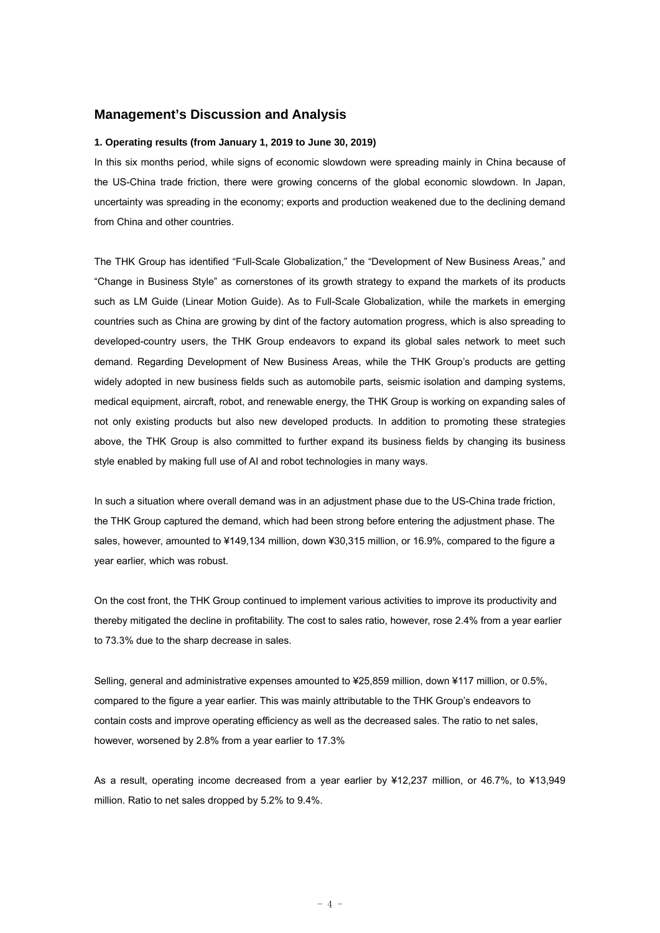## **Management's Discussion and Analysis**

#### **1. Operating results (from January 1, 2019 to June 30, 2019)**

In this six months period, while signs of economic slowdown were spreading mainly in China because of the US-China trade friction, there were growing concerns of the global economic slowdown. In Japan, uncertainty was spreading in the economy; exports and production weakened due to the declining demand from China and other countries.

The THK Group has identified "Full-Scale Globalization," the "Development of New Business Areas," and "Change in Business Style" as cornerstones of its growth strategy to expand the markets of its products such as LM Guide (Linear Motion Guide). As to Full-Scale Globalization, while the markets in emerging countries such as China are growing by dint of the factory automation progress, which is also spreading to developed-country users, the THK Group endeavors to expand its global sales network to meet such demand. Regarding Development of New Business Areas, while the THK Group's products are getting widely adopted in new business fields such as automobile parts, seismic isolation and damping systems, medical equipment, aircraft, robot, and renewable energy, the THK Group is working on expanding sales of not only existing products but also new developed products. In addition to promoting these strategies above, the THK Group is also committed to further expand its business fields by changing its business style enabled by making full use of AI and robot technologies in many ways.

In such a situation where overall demand was in an adjustment phase due to the US-China trade friction, the THK Group captured the demand, which had been strong before entering the adjustment phase. The sales, however, amounted to ¥149,134 million, down ¥30,315 million, or 16.9%, compared to the figure a year earlier, which was robust.

On the cost front, the THK Group continued to implement various activities to improve its productivity and thereby mitigated the decline in profitability. The cost to sales ratio, however, rose 2.4% from a year earlier to 73.3% due to the sharp decrease in sales.

Selling, general and administrative expenses amounted to ¥25,859 million, down ¥117 million, or 0.5%, compared to the figure a year earlier. This was mainly attributable to the THK Group's endeavors to contain costs and improve operating efficiency as well as the decreased sales. The ratio to net sales, however, worsened by 2.8% from a year earlier to 17.3%

As a result, operating income decreased from a year earlier by ¥12,237 million, or 46.7%, to ¥13,949 million. Ratio to net sales dropped by 5.2% to 9.4%.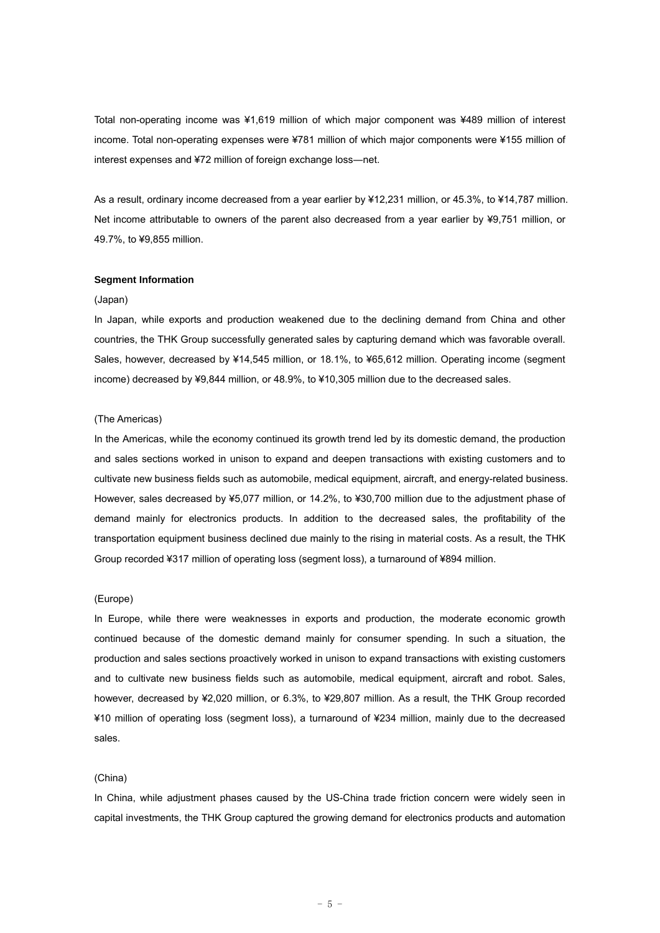Total non-operating income was ¥1,619 million of which major component was ¥489 million of interest income. Total non-operating expenses were ¥781 million of which major components were ¥155 million of interest expenses and ¥72 million of foreign exchange loss―net.

As a result, ordinary income decreased from a year earlier by ¥12,231 million, or 45.3%, to ¥14,787 million. Net income attributable to owners of the parent also decreased from a year earlier by ¥9,751 million, or 49.7%, to ¥9,855 million.

#### **Segment Information**

#### (Japan)

In Japan, while exports and production weakened due to the declining demand from China and other countries, the THK Group successfully generated sales by capturing demand which was favorable overall. Sales, however, decreased by ¥14,545 million, or 18.1%, to ¥65,612 million. Operating income (segment income) decreased by ¥9,844 million, or 48.9%, to ¥10,305 million due to the decreased sales.

#### (The Americas)

In the Americas, while the economy continued its growth trend led by its domestic demand, the production and sales sections worked in unison to expand and deepen transactions with existing customers and to cultivate new business fields such as automobile, medical equipment, aircraft, and energy-related business. However, sales decreased by ¥5,077 million, or 14.2%, to ¥30,700 million due to the adjustment phase of demand mainly for electronics products. In addition to the decreased sales, the profitability of the transportation equipment business declined due mainly to the rising in material costs. As a result, the THK Group recorded ¥317 million of operating loss (segment loss), a turnaround of ¥894 million.

#### (Europe)

In Europe, while there were weaknesses in exports and production, the moderate economic growth continued because of the domestic demand mainly for consumer spending. In such a situation, the production and sales sections proactively worked in unison to expand transactions with existing customers and to cultivate new business fields such as automobile, medical equipment, aircraft and robot. Sales, however, decreased by ¥2,020 million, or 6.3%, to ¥29,807 million. As a result, the THK Group recorded ¥10 million of operating loss (segment loss), a turnaround of ¥234 million, mainly due to the decreased sales.

#### (China)

In China, while adjustment phases caused by the US-China trade friction concern were widely seen in capital investments, the THK Group captured the growing demand for electronics products and automation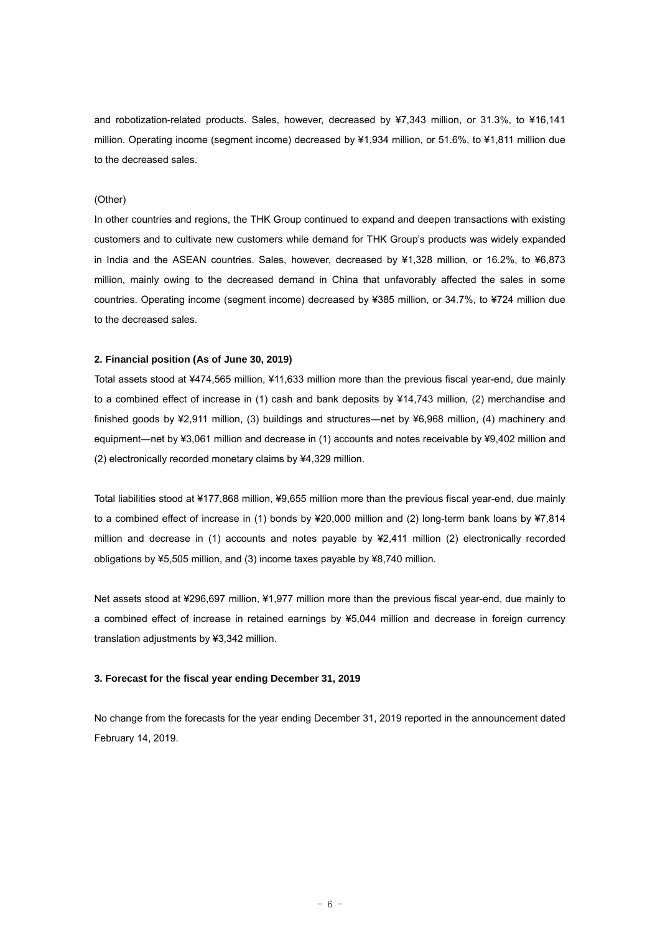and robotization-related products. Sales, however, decreased by ¥7,343 million, or 31.3%, to ¥16,141 million. Operating income (segment income) decreased by ¥1,934 million, or 51.6%, to ¥1,811 million due to the decreased sales.

## (Other)

In other countries and regions, the THK Group continued to expand and deepen transactions with existing customers and to cultivate new customers while demand for THK Group's products was widely expanded in India and the ASEAN countries. Sales, however, decreased by ¥1,328 million, or 16.2%, to ¥6,873 million, mainly owing to the decreased demand in China that unfavorably affected the sales in some countries. Operating income (segment income) decreased by ¥385 million, or 34.7%, to ¥724 million due to the decreased sales.

#### **2. Financial position (As of June 30, 2019)**

Total assets stood at ¥474,565 million, ¥11,633 million more than the previous fiscal year-end, due mainly to a combined effect of increase in (1) cash and bank deposits by ¥14,743 million, (2) merchandise and finished goods by ¥2,911 million, (3) buildings and structures—net by ¥6,968 million, (4) machinery and equipment—net by ¥3,061 million and decrease in (1) accounts and notes receivable by ¥9,402 million and (2) electronically recorded monetary claims by ¥4,329 million.

Total liabilities stood at ¥177,868 million, ¥9,655 million more than the previous fiscal year-end, due mainly to a combined effect of increase in (1) bonds by ¥20,000 million and (2) long-term bank loans by ¥7,814 million and decrease in (1) accounts and notes payable by ¥2,411 million (2) electronically recorded obligations by ¥5,505 million, and (3) income taxes payable by ¥8,740 million.

Net assets stood at ¥296,697 million, ¥1,977 million more than the previous fiscal year-end, due mainly to a combined effect of increase in retained earnings by ¥5,044 million and decrease in foreign currency translation adjustments by ¥3,342 million.

### **3. Forecast for the fiscal year ending December 31, 2019**

No change from the forecasts for the year ending December 31, 2019 reported in the announcement dated February 14, 2019.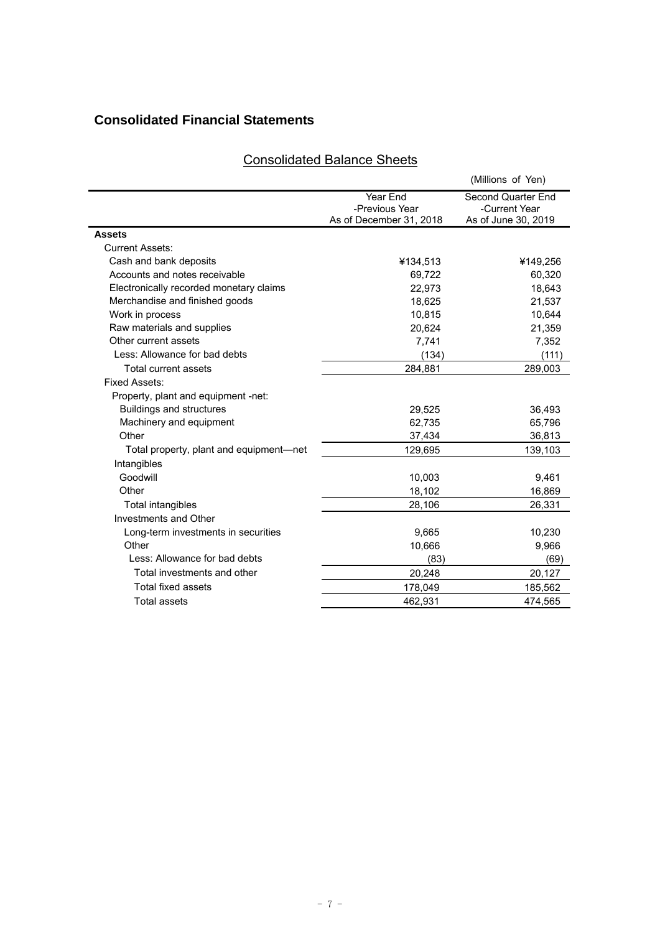# **Consolidated Financial Statements**

## Consolidated Balance Sheets

|                                         |                            | (Millions of Yen)                   |
|-----------------------------------------|----------------------------|-------------------------------------|
|                                         | Year End<br>-Previous Year | Second Quarter End<br>-Current Year |
|                                         | As of December 31, 2018    | As of June 30, 2019                 |
| <b>Assets</b>                           |                            |                                     |
| <b>Current Assets:</b>                  |                            |                                     |
| Cash and bank deposits                  | ¥134,513                   | ¥149,256                            |
| Accounts and notes receivable           | 69.722                     | 60,320                              |
| Electronically recorded monetary claims | 22,973                     | 18,643                              |
| Merchandise and finished goods          | 18,625                     | 21,537                              |
| Work in process                         | 10,815                     | 10,644                              |
| Raw materials and supplies              | 20,624                     | 21,359                              |
| Other current assets                    | 7,741                      | 7,352                               |
| Less: Allowance for bad debts           | (134)                      | (111)                               |
| Total current assets                    | 284,881                    | 289,003                             |
| Fixed Assets:                           |                            |                                     |
| Property, plant and equipment -net:     |                            |                                     |
| <b>Buildings and structures</b>         | 29,525                     | 36,493                              |
| Machinery and equipment                 | 62,735                     | 65,796                              |
| Other                                   | 37,434                     | 36,813                              |
| Total property, plant and equipment—net | 129,695                    | 139,103                             |
| Intangibles                             |                            |                                     |
| Goodwill                                | 10,003                     | 9,461                               |
| Other                                   | 18,102                     | 16,869                              |
| Total intangibles                       | 28,106                     | 26,331                              |
| Investments and Other                   |                            |                                     |
| Long-term investments in securities     | 9,665                      | 10,230                              |
| Other                                   | 10,666                     | 9,966                               |
| Less: Allowance for bad debts           | (83)                       | (69)                                |
| Total investments and other             | 20,248                     | 20,127                              |
| <b>Total fixed assets</b>               | 178,049                    | 185,562                             |
| Total assets                            | 462.931                    | 474.565                             |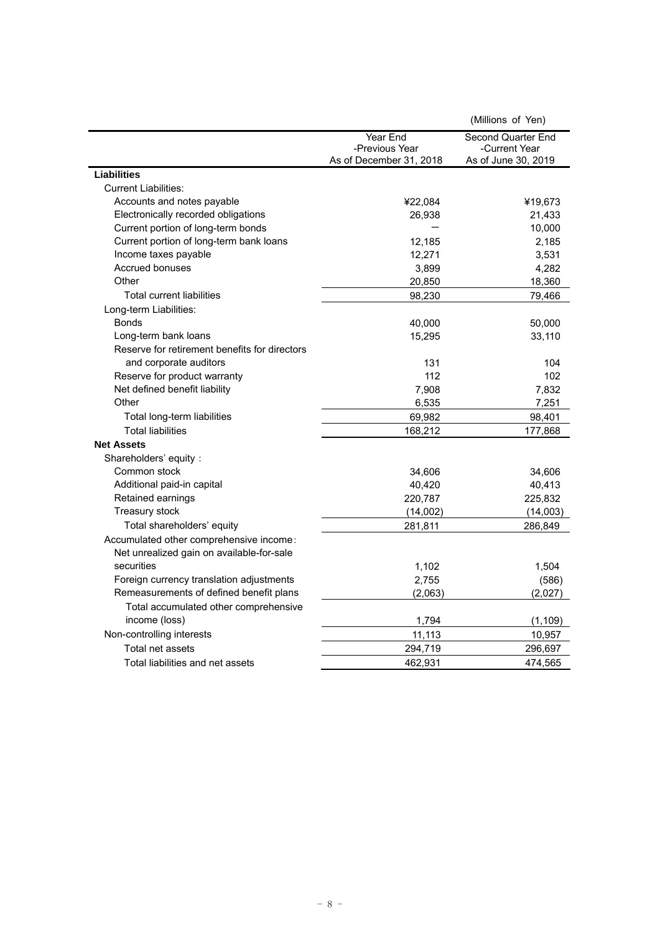|                                               |                                           | (Millions of Yen)                    |
|-----------------------------------------------|-------------------------------------------|--------------------------------------|
|                                               | Year End                                  | Second Quarter End                   |
|                                               | -Previous Year<br>As of December 31, 2018 | -Current Year<br>As of June 30, 2019 |
| <b>Liabilities</b>                            |                                           |                                      |
| <b>Current Liabilities:</b>                   |                                           |                                      |
| Accounts and notes payable                    | ¥22,084                                   | ¥19,673                              |
| Electronically recorded obligations           | 26,938                                    | 21,433                               |
| Current portion of long-term bonds            |                                           | 10,000                               |
| Current portion of long-term bank loans       | 12,185                                    | 2,185                                |
| Income taxes payable                          | 12,271                                    | 3,531                                |
| <b>Accrued bonuses</b>                        | 3,899                                     | 4,282                                |
| Other                                         | 20,850                                    | 18,360                               |
| <b>Total current liabilities</b>              | 98,230                                    | 79,466                               |
| Long-term Liabilities:                        |                                           |                                      |
| <b>Bonds</b>                                  | 40,000                                    | 50,000                               |
| Long-term bank loans                          | 15,295                                    | 33,110                               |
| Reserve for retirement benefits for directors |                                           |                                      |
| and corporate auditors                        | 131                                       | 104                                  |
| Reserve for product warranty                  | 112                                       | 102                                  |
| Net defined benefit liability                 | 7,908                                     | 7,832                                |
| Other                                         | 6,535                                     | 7,251                                |
| Total long-term liabilities                   | 69,982                                    | 98,401                               |
| <b>Total liabilities</b>                      | 168,212                                   | 177,868                              |
| <b>Net Assets</b>                             |                                           |                                      |
| Shareholders' equity:                         |                                           |                                      |
| Common stock                                  | 34,606                                    | 34,606                               |
| Additional paid-in capital                    | 40,420                                    | 40,413                               |
| Retained earnings                             | 220,787                                   | 225,832                              |
| Treasury stock                                | (14,002)                                  | (14,003)                             |
| Total shareholders' equity                    | 281,811                                   | 286,849                              |
| Accumulated other comprehensive income:       |                                           |                                      |
| Net unrealized gain on available-for-sale     |                                           |                                      |
| securities                                    | 1,102                                     | 1,504                                |
| Foreign currency translation adjustments      | 2,755                                     | (586)                                |
| Remeasurements of defined benefit plans       | (2,063)                                   | (2,027)                              |
| Total accumulated other comprehensive         |                                           |                                      |
| income (loss)                                 | 1,794                                     | (1, 109)                             |
| Non-controlling interests                     | 11,113                                    | 10,957                               |
| Total net assets                              | 294,719                                   | 296,697                              |
| Total liabilities and net assets              | 462,931                                   | 474,565                              |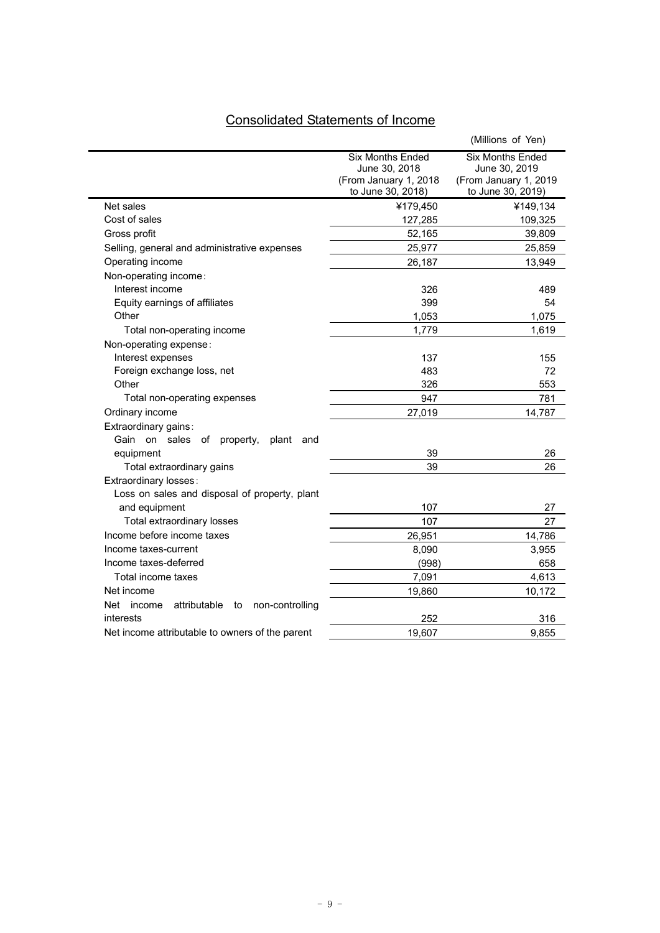# Consolidated Statements of Income

|                                                                |                                                                                        | (Millions of Yen)                                                                      |
|----------------------------------------------------------------|----------------------------------------------------------------------------------------|----------------------------------------------------------------------------------------|
|                                                                | <b>Six Months Ended</b><br>June 30, 2018<br>(From January 1, 2018<br>to June 30, 2018) | <b>Six Months Ended</b><br>June 30, 2019<br>(From January 1, 2019<br>to June 30, 2019) |
| Net sales                                                      | ¥179,450                                                                               | ¥149,134                                                                               |
| Cost of sales                                                  | 127,285                                                                                | 109,325                                                                                |
| Gross profit                                                   | 52,165                                                                                 | 39,809                                                                                 |
| Selling, general and administrative expenses                   | 25,977                                                                                 | 25,859                                                                                 |
| Operating income                                               | 26,187                                                                                 | 13,949                                                                                 |
| Non-operating income:                                          |                                                                                        |                                                                                        |
| Interest income                                                | 326                                                                                    | 489                                                                                    |
| Equity earnings of affiliates                                  | 399                                                                                    | 54                                                                                     |
| Other                                                          | 1,053                                                                                  | 1,075                                                                                  |
| Total non-operating income                                     | 1,779                                                                                  | 1,619                                                                                  |
| Non-operating expense:                                         |                                                                                        |                                                                                        |
| Interest expenses                                              | 137                                                                                    | 155                                                                                    |
| Foreign exchange loss, net                                     | 483                                                                                    | 72                                                                                     |
| Other                                                          | 326                                                                                    | 553                                                                                    |
| Total non-operating expenses                                   | 947                                                                                    | 781                                                                                    |
| Ordinary income                                                | 27,019                                                                                 | 14,787                                                                                 |
| Extraordinary gains:                                           |                                                                                        |                                                                                        |
| Gain on sales<br>оf<br>property,<br>plant<br>and<br>equipment  | 39                                                                                     | 26                                                                                     |
| Total extraordinary gains                                      | 39                                                                                     | 26                                                                                     |
| Extraordinary losses:                                          |                                                                                        |                                                                                        |
| Loss on sales and disposal of property, plant<br>and equipment | 107                                                                                    | 27                                                                                     |
| Total extraordinary losses                                     | 107                                                                                    | 27                                                                                     |
| Income before income taxes                                     | 26,951                                                                                 | 14,786                                                                                 |
| Income taxes-current                                           | 8,090                                                                                  | 3,955                                                                                  |
| Income taxes-deferred                                          | (998)                                                                                  | 658                                                                                    |
| Total income taxes                                             | 7,091                                                                                  | 4,613                                                                                  |
| Net income                                                     | 19,860                                                                                 | 10,172                                                                                 |
| Net<br>attributable<br>income<br>non-controlling<br>to         |                                                                                        |                                                                                        |
| interests                                                      | 252                                                                                    | 316                                                                                    |
| Net income attributable to owners of the parent                | 19,607                                                                                 | 9,855                                                                                  |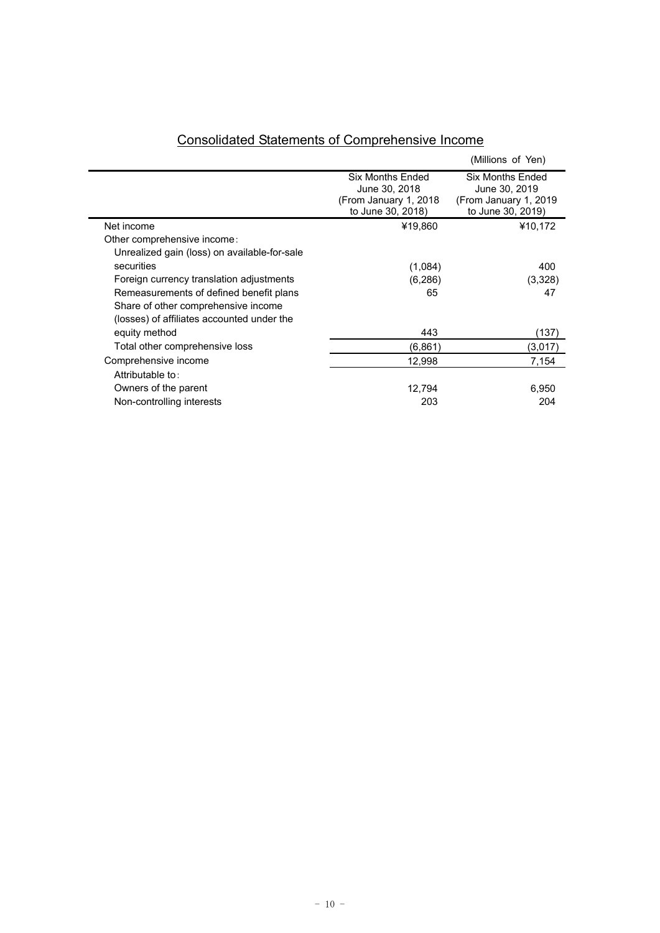|                                              |                                                                                  | (Millions of Yen)                                                                |
|----------------------------------------------|----------------------------------------------------------------------------------|----------------------------------------------------------------------------------|
|                                              | Six Months Ended<br>June 30, 2018<br>(From January 1, 2018)<br>to June 30, 2018) | Six Months Ended<br>June 30, 2019<br>(From January 1, 2019)<br>to June 30, 2019) |
| Net income                                   | ¥19,860                                                                          | ¥10,172                                                                          |
| Other comprehensive income:                  |                                                                                  |                                                                                  |
| Unrealized gain (loss) on available-for-sale |                                                                                  |                                                                                  |
| securities                                   | (1,084)                                                                          | 400                                                                              |
| Foreign currency translation adjustments     | (6,286)                                                                          | (3,328)                                                                          |
| Remeasurements of defined benefit plans      | 65                                                                               | 47                                                                               |
| Share of other comprehensive income          |                                                                                  |                                                                                  |
| (losses) of affiliates accounted under the   |                                                                                  |                                                                                  |
| equity method                                | 443                                                                              | (137)                                                                            |
| Total other comprehensive loss               | (6,861)                                                                          | (3,017)                                                                          |
| Comprehensive income                         | 12,998                                                                           | 7,154                                                                            |
| Attributable to:                             |                                                                                  |                                                                                  |
| Owners of the parent                         | 12,794                                                                           | 6,950                                                                            |
| Non-controlling interests                    | 203                                                                              | 204                                                                              |
|                                              |                                                                                  |                                                                                  |

## Consolidated Statements of Comprehensive Income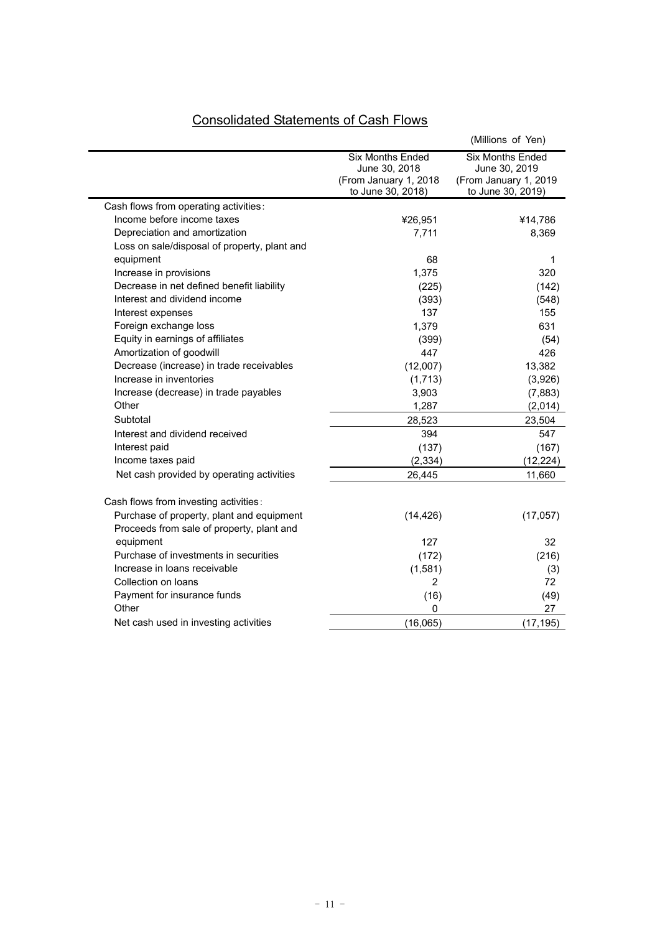|                                                                                        |                                                                                        | (Millions of Yen)                                                                      |
|----------------------------------------------------------------------------------------|----------------------------------------------------------------------------------------|----------------------------------------------------------------------------------------|
|                                                                                        | <b>Six Months Ended</b><br>June 30, 2018<br>(From January 1, 2018<br>to June 30, 2018) | <b>Six Months Ended</b><br>June 30, 2019<br>(From January 1, 2019<br>to June 30, 2019) |
| Cash flows from operating activities:                                                  |                                                                                        |                                                                                        |
| Income before income taxes                                                             | ¥26,951                                                                                | ¥14,786                                                                                |
| Depreciation and amortization                                                          | 7,711                                                                                  | 8,369                                                                                  |
| Loss on sale/disposal of property, plant and                                           |                                                                                        |                                                                                        |
| equipment                                                                              | 68                                                                                     | 1                                                                                      |
| Increase in provisions                                                                 | 1,375                                                                                  | 320                                                                                    |
| Decrease in net defined benefit liability                                              | (225)                                                                                  | (142)                                                                                  |
| Interest and dividend income                                                           | (393)                                                                                  | (548)                                                                                  |
| Interest expenses                                                                      | 137                                                                                    | 155                                                                                    |
| Foreign exchange loss                                                                  | 1,379                                                                                  | 631                                                                                    |
| Equity in earnings of affiliates                                                       | (399)                                                                                  | (54)                                                                                   |
| Amortization of goodwill                                                               | 447                                                                                    | 426                                                                                    |
| Decrease (increase) in trade receivables                                               | (12,007)                                                                               | 13,382                                                                                 |
| Increase in inventories                                                                | (1,713)                                                                                | (3,926)                                                                                |
| Increase (decrease) in trade payables                                                  | 3,903                                                                                  | (7,883)                                                                                |
| Other                                                                                  | 1,287                                                                                  | (2,014)                                                                                |
| Subtotal                                                                               | 28,523                                                                                 | 23,504                                                                                 |
| Interest and dividend received                                                         | 394                                                                                    | 547                                                                                    |
| Interest paid                                                                          | (137)                                                                                  | (167)                                                                                  |
| Income taxes paid                                                                      | (2, 334)                                                                               | (12, 224)                                                                              |
| Net cash provided by operating activities                                              | 26,445                                                                                 | 11,660                                                                                 |
| Cash flows from investing activities:                                                  |                                                                                        |                                                                                        |
| Purchase of property, plant and equipment<br>Proceeds from sale of property, plant and | (14, 426)                                                                              | (17, 057)                                                                              |
| equipment                                                                              | 127                                                                                    | 32                                                                                     |
| Purchase of investments in securities                                                  | (172)                                                                                  | (216)                                                                                  |
| Increase in loans receivable                                                           | (1,581)                                                                                | (3)                                                                                    |
| Collection on loans                                                                    | $\overline{2}$                                                                         | 72                                                                                     |
| Payment for insurance funds                                                            | (16)                                                                                   | (49)                                                                                   |
| Other                                                                                  | 0                                                                                      | 27                                                                                     |
| Net cash used in investing activities                                                  | (16,065)                                                                               | (17, 195)                                                                              |

# Consolidated Statements of Cash Flows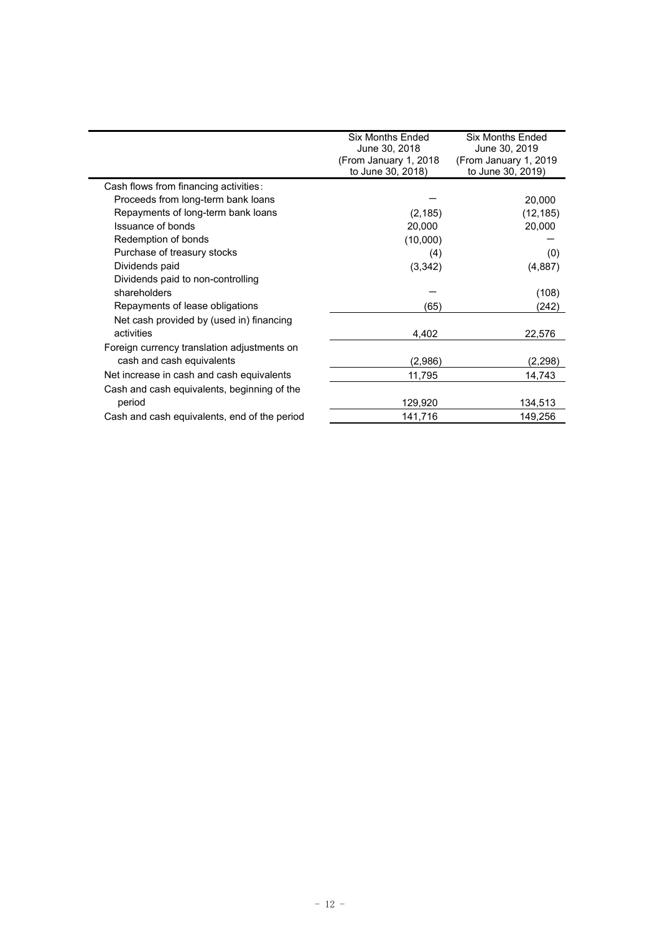|                                              | Six Months Fnded<br>June 30, 2018<br>(From January 1, 2018) | <b>Six Months Fnded</b><br>June 30, 2019<br>(From January 1, 2019) |
|----------------------------------------------|-------------------------------------------------------------|--------------------------------------------------------------------|
|                                              | to June 30, 2018)                                           | to June 30, 2019)                                                  |
| Cash flows from financing activities:        |                                                             |                                                                    |
| Proceeds from long-term bank loans           |                                                             | 20,000                                                             |
| Repayments of long-term bank loans           | (2, 185)                                                    | (12, 185)                                                          |
| Issuance of bonds                            | 20,000                                                      | 20,000                                                             |
| Redemption of bonds                          | (10,000)                                                    |                                                                    |
| Purchase of treasury stocks                  | (4)                                                         | (0)                                                                |
| Dividends paid                               | (3,342)                                                     | (4,887)                                                            |
| Dividends paid to non-controlling            |                                                             |                                                                    |
| shareholders                                 |                                                             | (108)                                                              |
| Repayments of lease obligations              | (65)                                                        | (242)                                                              |
| Net cash provided by (used in) financing     |                                                             |                                                                    |
| activities                                   | 4,402                                                       | 22,576                                                             |
| Foreign currency translation adjustments on  |                                                             |                                                                    |
| cash and cash equivalents                    | (2.986)                                                     | (2,298)                                                            |
| Net increase in cash and cash equivalents    | 11,795                                                      | 14,743                                                             |
| Cash and cash equivalents, beginning of the  |                                                             |                                                                    |
| period                                       | 129,920                                                     | 134,513                                                            |
| Cash and cash equivalents, end of the period | 141,716                                                     | 149,256                                                            |
|                                              |                                                             |                                                                    |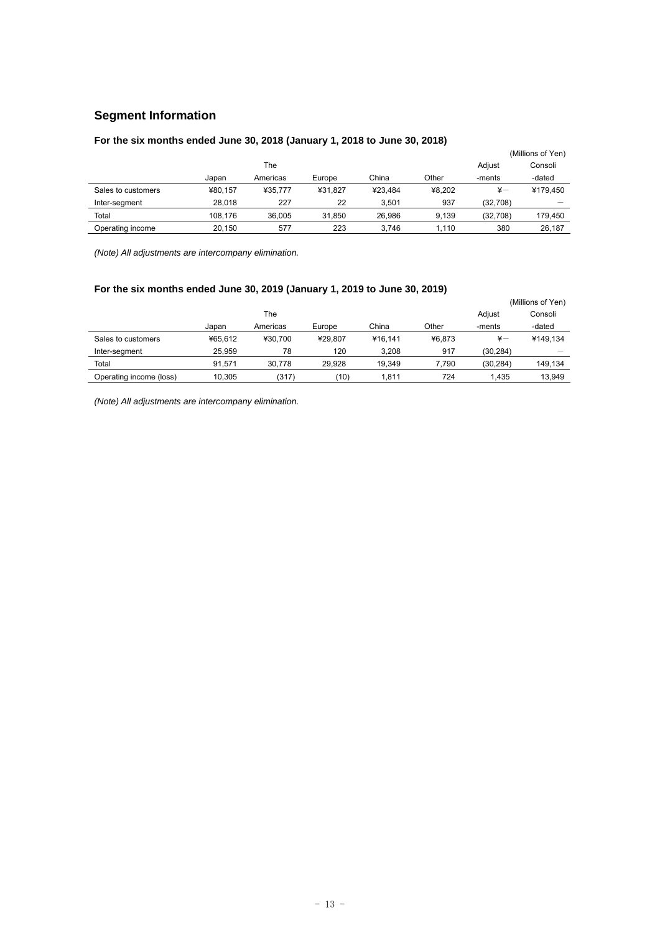## **Segment Information**

## **For the six months ended June 30, 2018 (January 1, 2018 to June 30, 2018)**

|                    |         |          |         |         |        |               | (Millions of Yen) |
|--------------------|---------|----------|---------|---------|--------|---------------|-------------------|
|                    |         | The      |         |         |        | Adjust        | Consoli           |
|                    | Japan   | Americas | Europe  | China   | Other  | -ments        | -dated            |
| Sales to customers | ¥80.157 | ¥35.777  | ¥31.827 | ¥23.484 | ¥8.202 | $\frac{1}{2}$ | ¥179.450          |
| Inter-segment      | 28.018  | 227      | 22      | 3.501   | 937    | (32,708)      |                   |
| Total              | 108.176 | 36.005   | 31.850  | 26.986  | 9.139  | (32,708)      | 179.450           |
| Operating income   | 20.150  | 577      | 223     | 3.746   | 1.110  | 380           | 26.187            |

*(Note) All adjustments are intercompany elimination.* 

## **For the six months ended June 30, 2019 (January 1, 2019 to June 30, 2019)**

|                         |         |          |         |         | (Millions of Yen) |               |          |
|-------------------------|---------|----------|---------|---------|-------------------|---------------|----------|
|                         |         | The      |         |         |                   | Adjust        | Consoli  |
|                         | Japan   | Americas | Europe  | China   | Other             | -ments        | -dated   |
| Sales to customers      | ¥65.612 | ¥30.700  | ¥29.807 | ¥16.141 | ¥6.873            | $\frac{1}{2}$ | ¥149.134 |
| Inter-segment           | 25.959  | 78       | 120     | 3.208   | 917               | (30.284)      |          |
| Total                   | 91.571  | 30.778   | 29.928  | 19.349  | 7.790             | (30, 284)     | 149.134  |
| Operating income (loss) | 10.305  | (317)    | (10)    | 1.811   | 724               | 1.435         | 13.949   |

*(Note) All adjustments are intercompany elimination.*